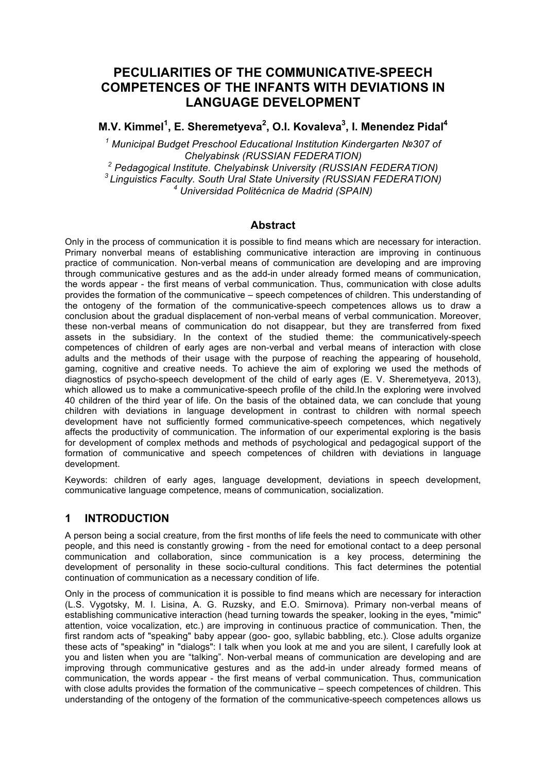# **PECULIARITIES OF THE COMMUNICATIVE-SPEECH COMPETENCES OF THE INFANTS WITH DEVIATIONS IN LANGUAGE DEVELOPMENT**

**M.V. Kimmel<sup>1</sup> , E. Sheremetyeva<sup>2</sup> , O.I. Kovaleva<sup>3</sup> , I. Menendez Pidal4**

*<sup>1</sup> Municipal Budget Preschool Educational Institution Kindergarten №307 of Chelyabinsk (RUSSIAN FEDERATION) <sup>2</sup> Pedagogical Institute. Chelyabinsk University (RUSSIAN FEDERATION) 3 Linguistics Faculty. South Ural State University (RUSSIAN FEDERATION) <sup>4</sup> Universidad Politécnica de Madrid (SPAIN)*

#### **Abstract**

Only in the process of communication it is possible to find means which are necessary for interaction. Primary nonverbal means of establishing communicative interaction are improving in continuous practice of communication. Non-verbal means of communication are developing and are improving through communicative gestures and as the add-in under already formed means of communication, the words appear - the first means of verbal communication. Thus, communication with close adults provides the formation of the communicative – speech competences of children. This understanding of the ontogeny of the formation of the communicative-speech competences allows us to draw a conclusion about the gradual displacement of non-verbal means of verbal communication. Moreover, these non-verbal means of communication do not disappear, but they are transferred from fixed assets in the subsidiary. In the context of the studied theme: the communicatively-speech competences of children of early ages are non-verbal and verbal means of interaction with close adults and the methods of their usage with the purpose of reaching the appearing of household, gaming, cognitive and creative needs. To achieve the aim of exploring we used the methods of diagnostics of psycho-speech development of the child of early ages (E. V. Sheremetyeva, 2013), which allowed us to make a communicative-speech profile of the child.In the exploring were involved 40 children of the third year of life. On the basis of the obtained data, we can conclude that young children with deviations in language development in contrast to children with normal speech development have not sufficiently formed communicative-speech competences, which negatively affects the productivity of communication. The information of our experimental exploring is the basis for development of complex methods and methods of psychological and pedagogical support of the formation of communicative and speech competences of children with deviations in language development.

Keywords: children of early ages, language development, deviations in speech development, communicative language competence, means of communication, socialization.

### **1 INTRODUCTION**

A person being a social creature, from the first months of life feels the need to communicate with other people, and this need is constantly growing - from the need for emotional contact to a deep personal communication and collaboration, since communication is a key process, determining the development of personality in these socio-cultural conditions. This fact determines the potential continuation of communication as a necessary condition of life.

Only in the process of communication it is possible to find means which are necessary for interaction (L.S. Vygotsky, M. I. Lisina, A. G. Ruzsky, and E.O. Smirnova). Primary non-verbal means of establishing communicative interaction (head turning towards the speaker, looking in the eyes, "mimic" attention, voice vocalization, etc.) are improving in continuous practice of communication. Then, the first random acts of "speaking" baby appear (goo- goo, syllabic babbling, etc.). Close adults organize these acts of "speaking" in "dialogs": I talk when you look at me and you are silent, I carefully look at you and listen when you are "talking". Non-verbal means of communication are developing and are improving through communicative gestures and as the add-in under already formed means of communication, the words appear - the first means of verbal communication. Thus, communication with close adults provides the formation of the communicative – speech competences of children. This understanding of the ontogeny of the formation of the communicative-speech competences allows us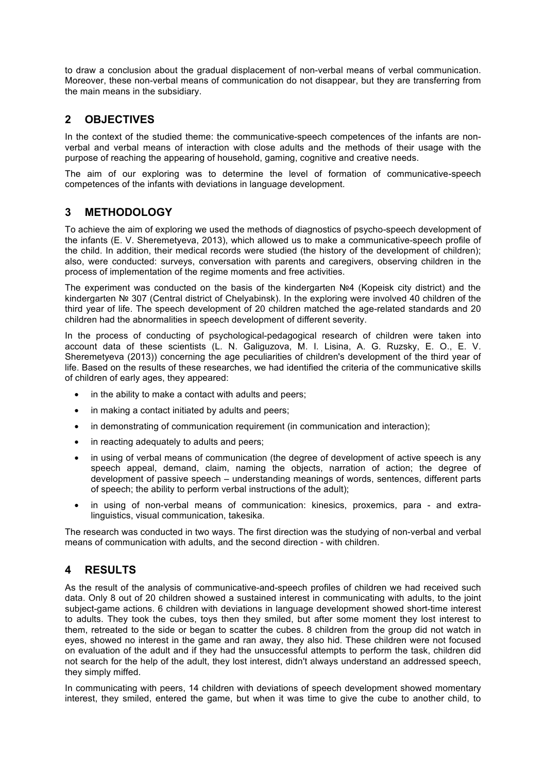to draw a conclusion about the gradual displacement of non-verbal means of verbal communication. Moreover, these non-verbal means of communication do not disappear, but they are transferring from the main means in the subsidiary.

## **2 OBJECTIVES**

In the context of the studied theme: the communicative-speech competences of the infants are nonverbal and verbal means of interaction with close adults and the methods of their usage with the purpose of reaching the appearing of household, gaming, cognitive and creative needs.

The aim of our exploring was to determine the level of formation of communicative-speech competences of the infants with deviations in language development.

### **3 METHODOLOGY**

To achieve the aim of exploring we used the methods of diagnostics of psycho-speech development of the infants (E. V. Sheremetyeva, 2013), which allowed us to make a communicative-speech profile of the child. In addition, their medical records were studied (the history of the development of children); also, were conducted: surveys, conversation with parents and caregivers, observing children in the process of implementation of the regime moments and free activities.

The experiment was conducted on the basis of the kindergarten №4 (Kopeisk city district) and the kindergarten № 307 (Central district of Chelyabinsk). In the exploring were involved 40 children of the third year of life. The speech development of 20 children matched the age-related standards and 20 children had the abnormalities in speech development of different severity.

In the process of conducting of psychological-pedagogical research of children were taken into account data of these scientists (L. N. Galiguzova, M. I. Lisina, A. G. Ruzsky, E. O., E. V. Sheremetyeva (2013)) concerning the age peculiarities of children's development of the third year of life. Based on the results of these researches, we had identified the criteria of the communicative skills of children of early ages, they appeared:

- in the ability to make a contact with adults and peers;
- in making a contact initiated by adults and peers;
- in demonstrating of communication requirement (in communication and interaction);
- in reacting adequately to adults and peers;
- in using of verbal means of communication (the degree of development of active speech is any speech appeal, demand, claim, naming the objects, narration of action; the degree of development of passive speech – understanding meanings of words, sentences, different parts of speech; the ability to perform verbal instructions of the adult);
- in using of non-verbal means of communication: kinesics, proxemics, para and extralinguistics, visual communication, takesika.

The research was conducted in two ways. The first direction was the studying of non-verbal and verbal means of communication with adults, and the second direction - with children.

# **4 RESULTS**

As the result of the analysis of communicative-and-speech profiles of children we had received such data. Only 8 out of 20 children showed a sustained interest in communicating with adults, to the joint subject-game actions. 6 children with deviations in language development showed short-time interest to adults. They took the cubes, toys then they smiled, but after some moment they lost interest to them, retreated to the side or began to scatter the cubes. 8 children from the group did not watch in eyes, showed no interest in the game and ran away, they also hid. These children were not focused on evaluation of the adult and if they had the unsuccessful attempts to perform the task, children did not search for the help of the adult, they lost interest, didn't always understand an addressed speech, they simply miffed.

In communicating with peers, 14 children with deviations of speech development showed momentary interest, they smiled, entered the game, but when it was time to give the cube to another child, to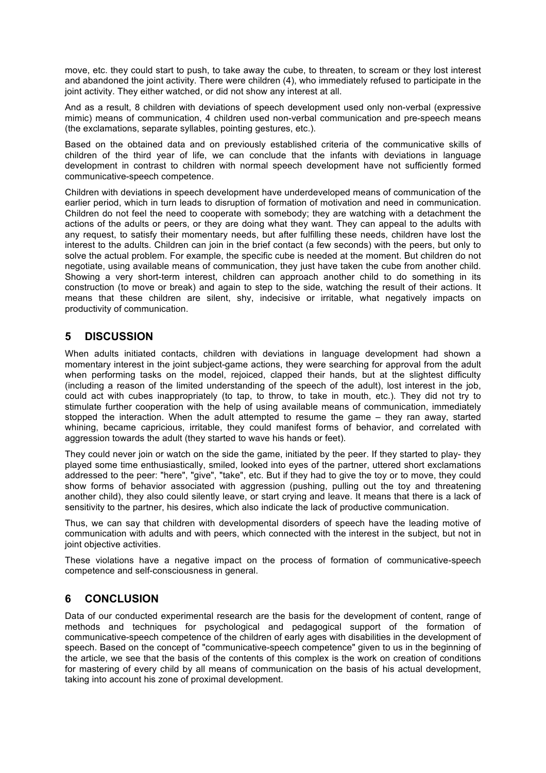move, etc. they could start to push, to take away the cube, to threaten, to scream or they lost interest and abandoned the joint activity. There were children (4), who immediately refused to participate in the joint activity. They either watched, or did not show any interest at all.

And as a result, 8 children with deviations of speech development used only non-verbal (expressive mimic) means of communication, 4 children used non-verbal communication and pre-speech means (the exclamations, separate syllables, pointing gestures, etc.).

Based on the obtained data and on previously established criteria of the communicative skills of children of the third year of life, we can conclude that the infants with deviations in language development in contrast to children with normal speech development have not sufficiently formed communicative-speech competence.

Children with deviations in speech development have underdeveloped means of communication of the earlier period, which in turn leads to disruption of formation of motivation and need in communication. Children do not feel the need to cooperate with somebody; they are watching with a detachment the actions of the adults or peers, or they are doing what they want. They can appeal to the adults with any request, to satisfy their momentary needs, but after fulfilling these needs, children have lost the interest to the adults. Children can join in the brief contact (a few seconds) with the peers, but only to solve the actual problem. For example, the specific cube is needed at the moment. But children do not negotiate, using available means of communication, they just have taken the cube from another child. Showing a very short-term interest, children can approach another child to do something in its construction (to move or break) and again to step to the side, watching the result of their actions. It means that these children are silent, shy, indecisive or irritable, what negatively impacts on productivity of communication.

## **5 DISCUSSION**

When adults initiated contacts, children with deviations in language development had shown a momentary interest in the joint subject-game actions, they were searching for approval from the adult when performing tasks on the model, rejoiced, clapped their hands, but at the slightest difficulty (including a reason of the limited understanding of the speech of the adult), lost interest in the job, could act with cubes inappropriately (to tap, to throw, to take in mouth, etc.). They did not try to stimulate further cooperation with the help of using available means of communication, immediately stopped the interaction. When the adult attempted to resume the game – they ran away, started whining, became capricious, irritable, they could manifest forms of behavior, and correlated with aggression towards the adult (they started to wave his hands or feet).

They could never join or watch on the side the game, initiated by the peer. If they started to play- they played some time enthusiastically, smiled, looked into eyes of the partner, uttered short exclamations addressed to the peer: "here", "give", "take", etc. But if they had to give the toy or to move, they could show forms of behavior associated with aggression (pushing, pulling out the toy and threatening another child), they also could silently leave, or start crying and leave. It means that there is a lack of sensitivity to the partner, his desires, which also indicate the lack of productive communication.

Thus, we can say that children with developmental disorders of speech have the leading motive of communication with adults and with peers, which connected with the interest in the subject, but not in joint objective activities.

These violations have a negative impact on the process of formation of communicative-speech competence and self-consciousness in general.

### **6 CONCLUSION**

Data of our conducted experimental research are the basis for the development of content, range of methods and techniques for psychological and pedagogical support of the formation of communicative-speech competence of the children of early ages with disabilities in the development of speech. Based on the concept of "communicative-speech competence" given to us in the beginning of the article, we see that the basis of the contents of this complex is the work on creation of conditions for mastering of every child by all means of communication on the basis of his actual development, taking into account his zone of proximal development.